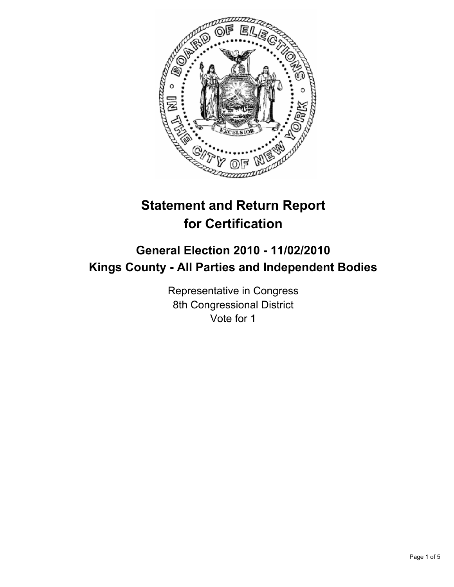

# **Statement and Return Report for Certification**

## **General Election 2010 - 11/02/2010 Kings County - All Parties and Independent Bodies**

Representative in Congress 8th Congressional District Vote for 1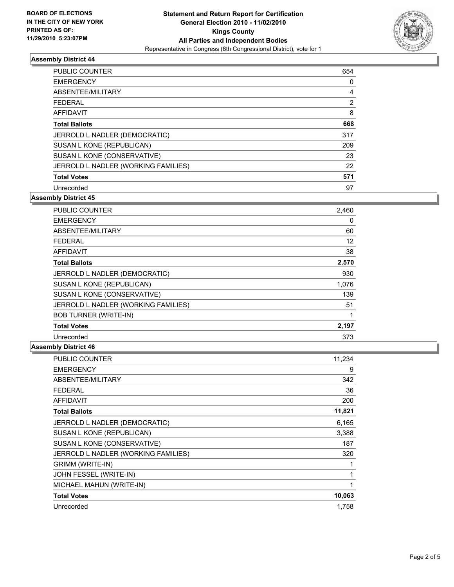

### **Assembly District 44**

| <b>PUBLIC COUNTER</b>               | 654 |
|-------------------------------------|-----|
| <b>EMERGENCY</b>                    | 0   |
| ABSENTEE/MILITARY                   | 4   |
| <b>FEDERAL</b>                      | 2   |
| <b>AFFIDAVIT</b>                    | 8   |
| <b>Total Ballots</b>                | 668 |
| JERROLD L NADLER (DEMOCRATIC)       | 317 |
| SUSAN L KONE (REPUBLICAN)           | 209 |
| SUSAN L KONE (CONSERVATIVE)         | 23  |
| JERROLD L NADLER (WORKING FAMILIES) | 22  |
| <b>Total Votes</b>                  | 571 |
| Unrecorded                          | 97  |

**Assembly District 45**

| <b>PUBLIC COUNTER</b>               | 2,460 |
|-------------------------------------|-------|
| <b>EMERGENCY</b>                    | 0     |
| ABSENTEE/MILITARY                   | 60    |
| <b>FEDERAL</b>                      | 12    |
| <b>AFFIDAVIT</b>                    | 38    |
| <b>Total Ballots</b>                | 2,570 |
| JERROLD L NADLER (DEMOCRATIC)       | 930   |
| SUSAN L KONE (REPUBLICAN)           | 1,076 |
| SUSAN L KONE (CONSERVATIVE)         | 139   |
| JERROLD L NADLER (WORKING FAMILIES) | 51    |
| <b>BOB TURNER (WRITE-IN)</b>        | 1     |
| <b>Total Votes</b>                  | 2,197 |
| Unrecorded                          | 373   |

### **Assembly District 46**

| PUBLIC COUNTER                      | 11,234 |
|-------------------------------------|--------|
| <b>EMERGENCY</b>                    | 9      |
| ABSENTEE/MILITARY                   | 342    |
| FEDERAL                             | 36     |
| <b>AFFIDAVIT</b>                    | 200    |
| <b>Total Ballots</b>                | 11,821 |
| JERROLD L NADLER (DEMOCRATIC)       | 6,165  |
| SUSAN L KONE (REPUBLICAN)           | 3,388  |
| SUSAN L KONE (CONSERVATIVE)         | 187    |
| JERROLD L NADLER (WORKING FAMILIES) | 320    |
| <b>GRIMM (WRITE-IN)</b>             |        |
| JOHN FESSEL (WRITE-IN)              |        |
| MICHAEL MAHUN (WRITE-IN)            | 1      |
| <b>Total Votes</b>                  | 10,063 |
| Unrecorded                          | 1,758  |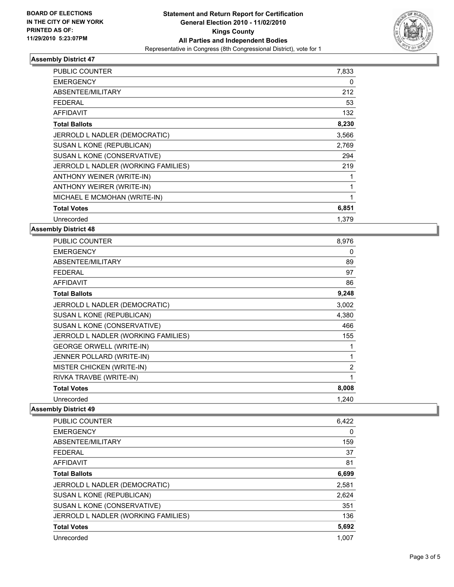

### **Assembly District 47**

| <b>PUBLIC COUNTER</b>               | 7,833 |
|-------------------------------------|-------|
| <b>EMERGENCY</b>                    | 0     |
| ABSENTEE/MILITARY                   | 212   |
| <b>FEDERAL</b>                      | 53    |
| <b>AFFIDAVIT</b>                    | 132   |
| <b>Total Ballots</b>                | 8,230 |
| JERROLD L NADLER (DEMOCRATIC)       | 3,566 |
| SUSAN L KONE (REPUBLICAN)           | 2,769 |
| SUSAN L KONE (CONSERVATIVE)         | 294   |
| JERROLD L NADLER (WORKING FAMILIES) | 219   |
| ANTHONY WEINER (WRITE-IN)           | 1     |
| ANTHONY WEIRER (WRITE-IN)           | 1     |
| MICHAEL E MCMOHAN (WRITE-IN)        | 1     |
| <b>Total Votes</b>                  | 6,851 |
| Unrecorded                          | 1.379 |

#### **Assembly District 48**

| PUBLIC COUNTER                      | 8,976 |
|-------------------------------------|-------|
| <b>EMERGENCY</b>                    | 0     |
| ABSENTEE/MILITARY                   | 89    |
| <b>FEDERAL</b>                      | 97    |
| <b>AFFIDAVIT</b>                    | 86    |
| <b>Total Ballots</b>                | 9,248 |
| JERROLD L NADLER (DEMOCRATIC)       | 3,002 |
| SUSAN L KONE (REPUBLICAN)           | 4,380 |
| SUSAN L KONE (CONSERVATIVE)         | 466   |
| JERROLD L NADLER (WORKING FAMILIES) | 155   |
| <b>GEORGE ORWELL (WRITE-IN)</b>     | 1     |
| JENNER POLLARD (WRITE-IN)           | 1     |
| <b>MISTER CHICKEN (WRITE-IN)</b>    | 2     |
| RIVKA TRAVBE (WRITE-IN)             | 1     |
| <b>Total Votes</b>                  | 8,008 |
| Unrecorded                          | 1,240 |

### **Assembly District 49**

| <b>PUBLIC COUNTER</b>               | 6,422 |
|-------------------------------------|-------|
| <b>EMERGENCY</b>                    | 0     |
| ABSENTEE/MILITARY                   | 159   |
| <b>FEDERAL</b>                      | 37    |
| <b>AFFIDAVIT</b>                    | 81    |
| <b>Total Ballots</b>                | 6,699 |
| JERROLD L NADLER (DEMOCRATIC)       | 2,581 |
| SUSAN L KONE (REPUBLICAN)           | 2,624 |
| SUSAN L KONE (CONSERVATIVE)         | 351   |
| JERROLD L NADLER (WORKING FAMILIES) | 136   |
| <b>Total Votes</b>                  | 5,692 |
| Unrecorded                          | 1.007 |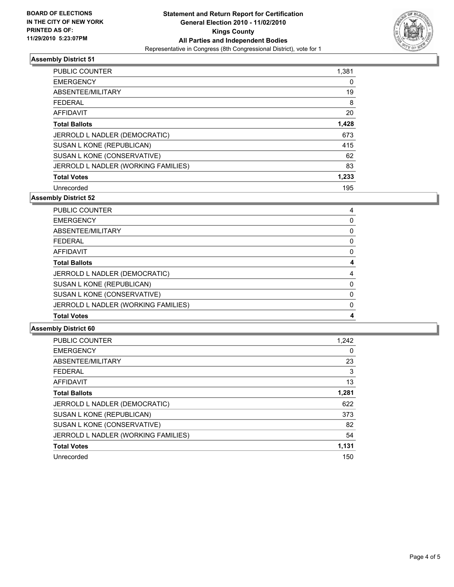

### **Assembly District 51**

| PUBLIC COUNTER                      | 1,381 |
|-------------------------------------|-------|
| <b>EMERGENCY</b>                    | 0     |
| ABSENTEE/MILITARY                   | 19    |
| FEDERAL                             | 8     |
| AFFIDAVIT                           | 20    |
| <b>Total Ballots</b>                | 1,428 |
| JERROLD L NADLER (DEMOCRATIC)       | 673   |
| SUSAN L KONE (REPUBLICAN)           | 415   |
| SUSAN L KONE (CONSERVATIVE)         | 62    |
| JERROLD L NADLER (WORKING FAMILIES) | 83    |
| <b>Total Votes</b>                  | 1,233 |
| Unrecorded                          | 195   |

**Assembly District 52**

| PUBLIC COUNTER                      | 4 |
|-------------------------------------|---|
| <b>EMERGENCY</b>                    | 0 |
| ABSENTEE/MILITARY                   | 0 |
| <b>FEDERAL</b>                      | 0 |
| <b>AFFIDAVIT</b>                    | 0 |
| <b>Total Ballots</b>                | 4 |
| JERROLD L NADLER (DEMOCRATIC)       | 4 |
| SUSAN L KONE (REPUBLICAN)           | 0 |
| SUSAN L KONE (CONSERVATIVE)         | 0 |
| JERROLD L NADLER (WORKING FAMILIES) | 0 |
| <b>Total Votes</b>                  | 4 |

**Assembly District 60**

| PUBLIC COUNTER                      | 1,242 |
|-------------------------------------|-------|
| <b>EMERGENCY</b>                    | 0     |
| ABSENTEE/MILITARY                   | 23    |
| <b>FEDERAL</b>                      | 3     |
| <b>AFFIDAVIT</b>                    | 13    |
| <b>Total Ballots</b>                | 1,281 |
| JERROLD L NADLER (DEMOCRATIC)       | 622   |
| SUSAN L KONE (REPUBLICAN)           | 373   |
| SUSAN L KONE (CONSERVATIVE)         | 82    |
| JERROLD L NADLER (WORKING FAMILIES) | 54    |
| <b>Total Votes</b>                  | 1,131 |
| Unrecorded                          | 150   |